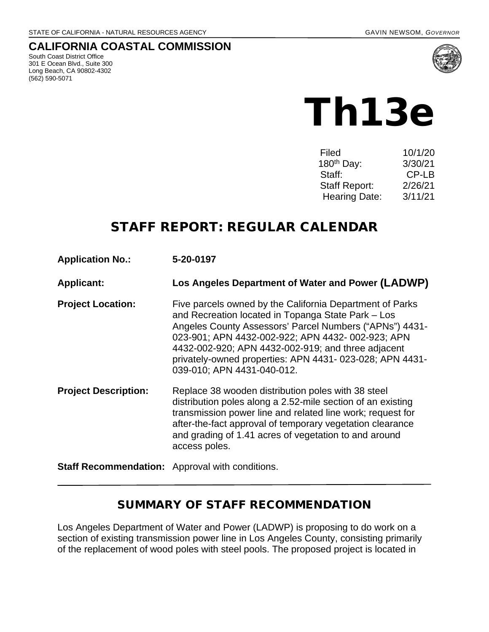#### **CALIFORNIA COASTAL COMMISSION**

South Coast District Office 301 E Ocean Blvd., Suite 300 Long Beach, CA 90802-4302 (562) 590-5071



# Th13e

| Filed                  | 10/1/20 |
|------------------------|---------|
| 180 <sup>th</sup> Day: | 3/30/21 |
| Staff:                 | CP-LB   |
| <b>Staff Report:</b>   | 2/26/21 |
| <b>Hearing Date:</b>   | 3/11/21 |

# STAFF REPORT: REGULAR CALENDAR

**Application No.: 5-20-0197**

**Applicant: Los Angeles Department of Water and Power (LADWP)**

**Project Location:** Five parcels owned by the California Department of Parks and Recreation located in Topanga State Park – Los Angeles County Assessors' Parcel Numbers ("APNs") 4431- 023-901; APN 4432-002-922; APN 4432- 002-923; APN 4432-002-920; APN 4432-002-919; and three adjacent privately-owned properties: APN 4431- 023-028; APN 4431- 039-010; APN 4431-040-012.

**Project Description:** Replace 38 wooden distribution poles with 38 steel distribution poles along a 2.52-mile section of an existing transmission power line and related line work; request for after-the-fact approval of temporary vegetation clearance and grading of 1.41 acres of vegetation to and around access poles.

**Staff Recommendation:** Approval with conditions.

#### SUMMARY OF STAFF RECOMMENDATION

Los Angeles Department of Water and Power (LADWP) is proposing to do work on a section of existing transmission power line in Los Angeles County, consisting primarily of the replacement of wood poles with steel pools. The proposed project is located in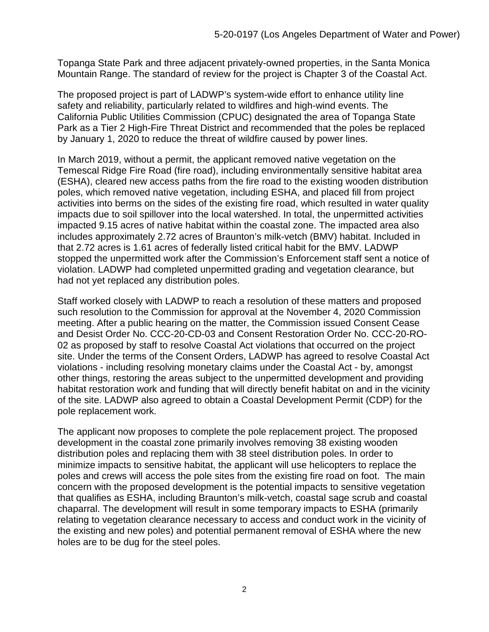Topanga State Park and three adjacent privately-owned properties, in the Santa Monica Mountain Range. The standard of review for the project is Chapter 3 of the Coastal Act.

The proposed project is part of LADWP's system-wide effort to enhance utility line safety and reliability, particularly related to wildfires and high-wind events. The California Public Utilities Commission (CPUC) designated the area of Topanga State Park as a Tier 2 High-Fire Threat District and recommended that the poles be replaced by January 1, 2020 to reduce the threat of wildfire caused by power lines.

In March 2019, without a permit, the applicant removed native vegetation on the Temescal Ridge Fire Road (fire road), including environmentally sensitive habitat area (ESHA), cleared new access paths from the fire road to the existing wooden distribution poles, which removed native vegetation, including ESHA, and placed fill from project activities into berms on the sides of the existing fire road, which resulted in water quality impacts due to soil spillover into the local watershed. In total, the unpermitted activities impacted 9.15 acres of native habitat within the coastal zone. The impacted area also includes approximately 2.72 acres of Braunton's milk-vetch (BMV) habitat. Included in that 2.72 acres is 1.61 acres of federally listed critical habit for the BMV. LADWP stopped the unpermitted work after the Commission's Enforcement staff sent a notice of violation. LADWP had completed unpermitted grading and vegetation clearance, but had not yet replaced any distribution poles.

Staff worked closely with LADWP to reach a resolution of these matters and proposed such resolution to the Commission for approval at the November 4, 2020 Commission meeting. After a public hearing on the matter, the Commission issued Consent Cease and Desist Order No. CCC-20-CD-03 and Consent Restoration Order No. CCC-20-RO-02 as proposed by staff to resolve Coastal Act violations that occurred on the project site. Under the terms of the Consent Orders, LADWP has agreed to resolve Coastal Act violations - including resolving monetary claims under the Coastal Act - by, amongst other things, restoring the areas subject to the unpermitted development and providing habitat restoration work and funding that will directly benefit habitat on and in the vicinity of the site. LADWP also agreed to obtain a Coastal Development Permit (CDP) for the pole replacement work.

The applicant now proposes to complete the pole replacement project. The proposed development in the coastal zone primarily involves removing 38 existing wooden distribution poles and replacing them with 38 steel distribution poles. In order to minimize impacts to sensitive habitat, the applicant will use helicopters to replace the poles and crews will access the pole sites from the existing fire road on foot. The main concern with the proposed development is the potential impacts to sensitive vegetation that qualifies as ESHA, including Braunton's milk-vetch, coastal sage scrub and coastal chaparral. The development will result in some temporary impacts to ESHA (primarily relating to vegetation clearance necessary to access and conduct work in the vicinity of the existing and new poles) and potential permanent removal of ESHA where the new holes are to be dug for the steel poles.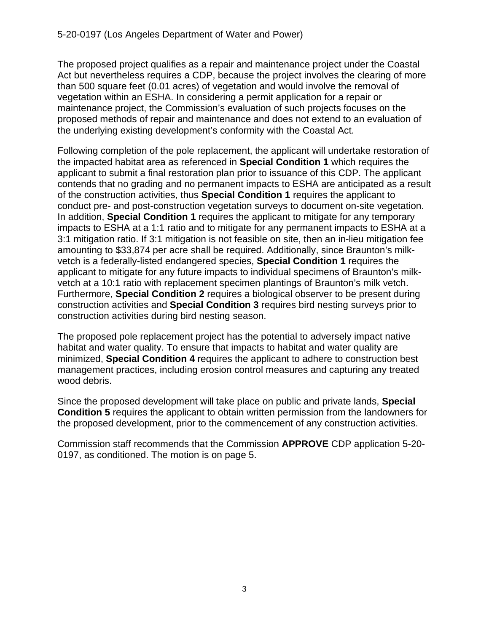The proposed project qualifies as a repair and maintenance project under the Coastal Act but nevertheless requires a CDP, because the project involves the clearing of more than 500 square feet (0.01 acres) of vegetation and would involve the removal of vegetation within an ESHA. In considering a permit application for a repair or maintenance project, the Commission's evaluation of such projects focuses on the proposed methods of repair and maintenance and does not extend to an evaluation of the underlying existing development's conformity with the Coastal Act.

Following completion of the pole replacement, the applicant will undertake restoration of the impacted habitat area as referenced in **Special Condition 1** which requires the applicant to submit a final restoration plan prior to issuance of this CDP. The applicant contends that no grading and no permanent impacts to ESHA are anticipated as a result of the construction activities, thus **Special Condition 1** requires the applicant to conduct pre- and post-construction vegetation surveys to document on-site vegetation. In addition, **Special Condition 1** requires the applicant to mitigate for any temporary impacts to ESHA at a 1:1 ratio and to mitigate for any permanent impacts to ESHA at a 3:1 mitigation ratio. If 3:1 mitigation is not feasible on site, then an in-lieu mitigation fee amounting to \$33,874 per acre shall be required. Additionally, since Braunton's milkvetch is a federally-listed endangered species, **Special Condition 1** requires the applicant to mitigate for any future impacts to individual specimens of Braunton's milkvetch at a 10:1 ratio with replacement specimen plantings of Braunton's milk vetch. Furthermore, **Special Condition 2** requires a biological observer to be present during construction activities and **Special Condition 3** requires bird nesting surveys prior to construction activities during bird nesting season.

The proposed pole replacement project has the potential to adversely impact native habitat and water quality. To ensure that impacts to habitat and water quality are minimized, **Special Condition 4** requires the applicant to adhere to construction best management practices, including erosion control measures and capturing any treated wood debris.

Since the proposed development will take place on public and private lands, **Special Condition 5** requires the applicant to obtain written permission from the landowners for the proposed development, prior to the commencement of any construction activities.

Commission staff recommends that the Commission **APPROVE** CDP application 5-20- 0197, as conditioned. The motion is on page 5.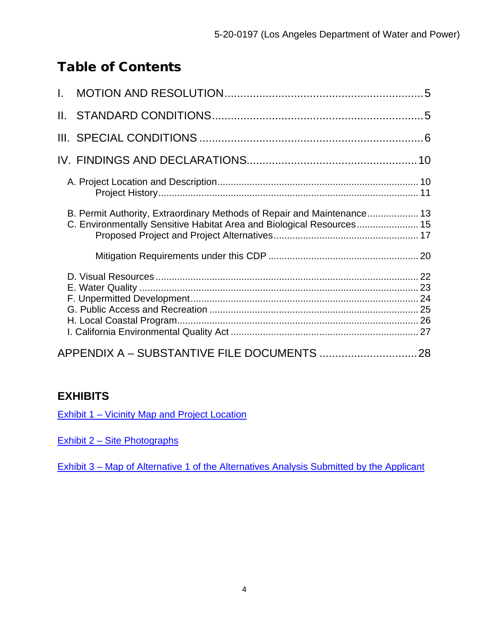# Table of Contents

| B. Permit Authority, Extraordinary Methods of Repair and Maintenance 13<br>C. Environmentally Sensitive Habitat Area and Biological Resources 15 |  |
|--------------------------------------------------------------------------------------------------------------------------------------------------|--|
|                                                                                                                                                  |  |
|                                                                                                                                                  |  |
| APPENDIX A - SUBSTANTIVE FILE DOCUMENTS  28                                                                                                      |  |

## **EXHIBITS**

[Exhibit 1 – Vicinity Map and Project Location](https://documents.coastal.ca.gov/reports/2021/3/Th13e/Th13e-3-2021-exhibits.pdf)

[Exhibit 2 – Site Photographs](https://documents.coastal.ca.gov/reports/2021/3/Th13e/Th13e-3-2021-exhibits.pdf) 

Exhibit 3 – Map of Alternative 1 [of the Alternatives Analysis Submitted by the Applicant](https://documents.coastal.ca.gov/reports/2021/3/Th13e/Th13e-3-2021-exhibits.pdf)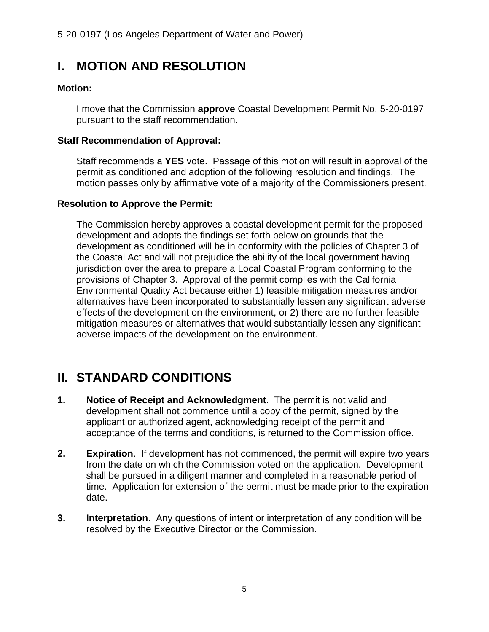# <span id="page-4-0"></span>**I. MOTION AND RESOLUTION**

#### **Motion:**

I move that the Commission **approve** Coastal Development Permit No. 5-20-0197 pursuant to the staff recommendation.

#### **Staff Recommendation of Approval:**

Staff recommends a **YES** vote. Passage of this motion will result in approval of the permit as conditioned and adoption of the following resolution and findings. The motion passes only by affirmative vote of a majority of the Commissioners present.

#### **Resolution to Approve the Permit:**

The Commission hereby approves a coastal development permit for the proposed development and adopts the findings set forth below on grounds that the development as conditioned will be in conformity with the policies of Chapter 3 of the Coastal Act and will not prejudice the ability of the local government having jurisdiction over the area to prepare a Local Coastal Program conforming to the provisions of Chapter 3. Approval of the permit complies with the California Environmental Quality Act because either 1) feasible mitigation measures and/or alternatives have been incorporated to substantially lessen any significant adverse effects of the development on the environment, or 2) there are no further feasible mitigation measures or alternatives that would substantially lessen any significant adverse impacts of the development on the environment.

# <span id="page-4-1"></span>**II. STANDARD CONDITIONS**

- **1. Notice of Receipt and Acknowledgment**. The permit is not valid and development shall not commence until a copy of the permit, signed by the applicant or authorized agent, acknowledging receipt of the permit and acceptance of the terms and conditions, is returned to the Commission office.
- **2. Expiration**. If development has not commenced, the permit will expire two years from the date on which the Commission voted on the application. Development shall be pursued in a diligent manner and completed in a reasonable period of time. Application for extension of the permit must be made prior to the expiration date.
- **3. Interpretation**. Any questions of intent or interpretation of any condition will be resolved by the Executive Director or the Commission.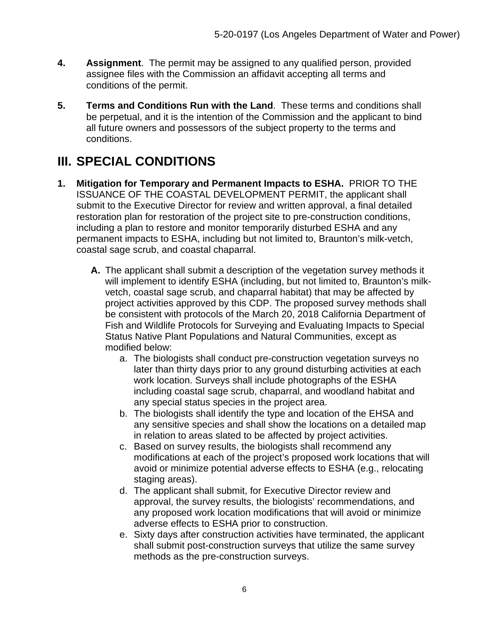- **4. Assignment**. The permit may be assigned to any qualified person, provided assignee files with the Commission an affidavit accepting all terms and conditions of the permit.
- **5. Terms and Conditions Run with the Land**. These terms and conditions shall be perpetual, and it is the intention of the Commission and the applicant to bind all future owners and possessors of the subject property to the terms and conditions.

# <span id="page-5-0"></span>**III. SPECIAL CONDITIONS**

- **1. Mitigation for Temporary and Permanent Impacts to ESHA.** PRIOR TO THE ISSUANCE OF THE COASTAL DEVELOPMENT PERMIT, the applicant shall submit to the Executive Director for review and written approval, a final detailed restoration plan for restoration of the project site to pre-construction conditions, including a plan to restore and monitor temporarily disturbed ESHA and any permanent impacts to ESHA, including but not limited to, Braunton's milk-vetch, coastal sage scrub, and coastal chaparral.
	- **A.** The applicant shall submit a description of the vegetation survey methods it will implement to identify ESHA (including, but not limited to, Braunton's milkvetch, coastal sage scrub, and chaparral habitat) that may be affected by project activities approved by this CDP. The proposed survey methods shall be consistent with protocols of the March 20, 2018 California Department of Fish and Wildlife Protocols for Surveying and Evaluating Impacts to Special Status Native Plant Populations and Natural Communities, except as modified below:
		- a. The biologists shall conduct pre-construction vegetation surveys no later than thirty days prior to any ground disturbing activities at each work location. Surveys shall include photographs of the ESHA including coastal sage scrub, chaparral, and woodland habitat and any special status species in the project area.
		- b. The biologists shall identify the type and location of the EHSA and any sensitive species and shall show the locations on a detailed map in relation to areas slated to be affected by project activities.
		- c. Based on survey results, the biologists shall recommend any modifications at each of the project's proposed work locations that will avoid or minimize potential adverse effects to ESHA (e.g., relocating staging areas).
		- d. The applicant shall submit, for Executive Director review and approval, the survey results, the biologists' recommendations, and any proposed work location modifications that will avoid or minimize adverse effects to ESHA prior to construction.
		- e. Sixty days after construction activities have terminated, the applicant shall submit post-construction surveys that utilize the same survey methods as the pre-construction surveys.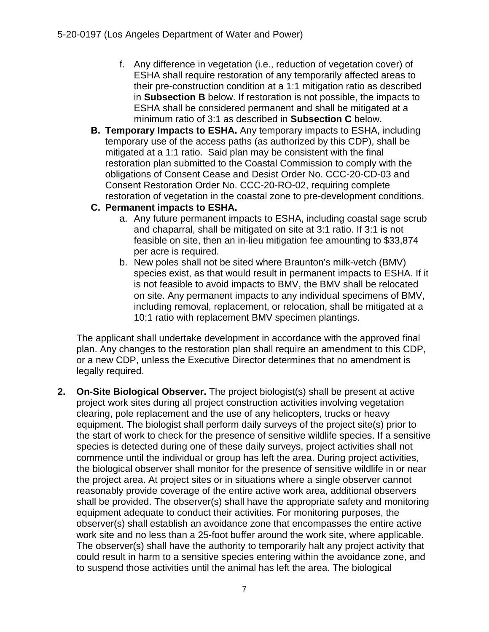- f. Any difference in vegetation (i.e., reduction of vegetation cover) of ESHA shall require restoration of any temporarily affected areas to their pre-construction condition at a 1:1 mitigation ratio as described in **Subsection B** below. If restoration is not possible, the impacts to ESHA shall be considered permanent and shall be mitigated at a minimum ratio of 3:1 as described in **Subsection C** below.
- **B. Temporary Impacts to ESHA.** Any temporary impacts to ESHA, including temporary use of the access paths (as authorized by this CDP), shall be mitigated at a 1:1 ratio. Said plan may be consistent with the final restoration plan submitted to the Coastal Commission to comply with the obligations of Consent Cease and Desist Order No. CCC-20-CD-03 and Consent Restoration Order No. CCC-20-RO-02, requiring complete restoration of vegetation in the coastal zone to pre-development conditions.

#### **C. Permanent impacts to ESHA.**

- a. Any future permanent impacts to ESHA, including coastal sage scrub and chaparral, shall be mitigated on site at 3:1 ratio. If 3:1 is not feasible on site, then an in-lieu mitigation fee amounting to \$33,874 per acre is required.
- b. New poles shall not be sited where Braunton's milk-vetch (BMV) species exist, as that would result in permanent impacts to ESHA. If it is not feasible to avoid impacts to BMV, the BMV shall be relocated on site. Any permanent impacts to any individual specimens of BMV, including removal, replacement, or relocation, shall be mitigated at a 10:1 ratio with replacement BMV specimen plantings.

The applicant shall undertake development in accordance with the approved final plan. Any changes to the restoration plan shall require an amendment to this CDP, or a new CDP, unless the Executive Director determines that no amendment is legally required.

**2. On-Site Biological Observer.** The project biologist(s) shall be present at active project work sites during all project construction activities involving vegetation clearing, pole replacement and the use of any helicopters, trucks or heavy equipment. The biologist shall perform daily surveys of the project site(s) prior to the start of work to check for the presence of sensitive wildlife species. If a sensitive species is detected during one of these daily surveys, project activities shall not commence until the individual or group has left the area. During project activities, the biological observer shall monitor for the presence of sensitive wildlife in or near the project area. At project sites or in situations where a single observer cannot reasonably provide coverage of the entire active work area, additional observers shall be provided. The observer(s) shall have the appropriate safety and monitoring equipment adequate to conduct their activities. For monitoring purposes, the observer(s) shall establish an avoidance zone that encompasses the entire active work site and no less than a 25-foot buffer around the work site, where applicable. The observer(s) shall have the authority to temporarily halt any project activity that could result in harm to a sensitive species entering within the avoidance zone, and to suspend those activities until the animal has left the area. The biological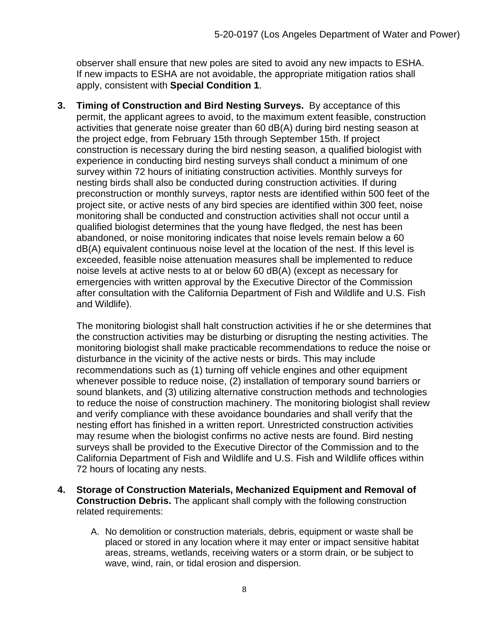observer shall ensure that new poles are sited to avoid any new impacts to ESHA. If new impacts to ESHA are not avoidable, the appropriate mitigation ratios shall apply, consistent with **Special Condition 1**.

**3. Timing of Construction and Bird Nesting Surveys.** By acceptance of this permit, the applicant agrees to avoid, to the maximum extent feasible, construction activities that generate noise greater than 60 dB(A) during bird nesting season at the project edge, from February 15th through September 15th. If project construction is necessary during the bird nesting season, a qualified biologist with experience in conducting bird nesting surveys shall conduct a minimum of one survey within 72 hours of initiating construction activities. Monthly surveys for nesting birds shall also be conducted during construction activities. If during preconstruction or monthly surveys, raptor nests are identified within 500 feet of the project site, or active nests of any bird species are identified within 300 feet, noise monitoring shall be conducted and construction activities shall not occur until a qualified biologist determines that the young have fledged, the nest has been abandoned, or noise monitoring indicates that noise levels remain below a 60 dB(A) equivalent continuous noise level at the location of the nest. If this level is exceeded, feasible noise attenuation measures shall be implemented to reduce noise levels at active nests to at or below 60 dB(A) (except as necessary for emergencies with written approval by the Executive Director of the Commission after consultation with the California Department of Fish and Wildlife and U.S. Fish and Wildlife).

The monitoring biologist shall halt construction activities if he or she determines that the construction activities may be disturbing or disrupting the nesting activities. The monitoring biologist shall make practicable recommendations to reduce the noise or disturbance in the vicinity of the active nests or birds. This may include recommendations such as (1) turning off vehicle engines and other equipment whenever possible to reduce noise, (2) installation of temporary sound barriers or sound blankets, and (3) utilizing alternative construction methods and technologies to reduce the noise of construction machinery. The monitoring biologist shall review and verify compliance with these avoidance boundaries and shall verify that the nesting effort has finished in a written report. Unrestricted construction activities may resume when the biologist confirms no active nests are found. Bird nesting surveys shall be provided to the Executive Director of the Commission and to the California Department of Fish and Wildlife and U.S. Fish and Wildlife offices within 72 hours of locating any nests.

- **4. Storage of Construction Materials, Mechanized Equipment and Removal of Construction Debris.** The applicant shall comply with the following construction related requirements:
	- A. No demolition or construction materials, debris, equipment or waste shall be placed or stored in any location where it may enter or impact sensitive habitat areas, streams, wetlands, receiving waters or a storm drain, or be subject to wave, wind, rain, or tidal erosion and dispersion.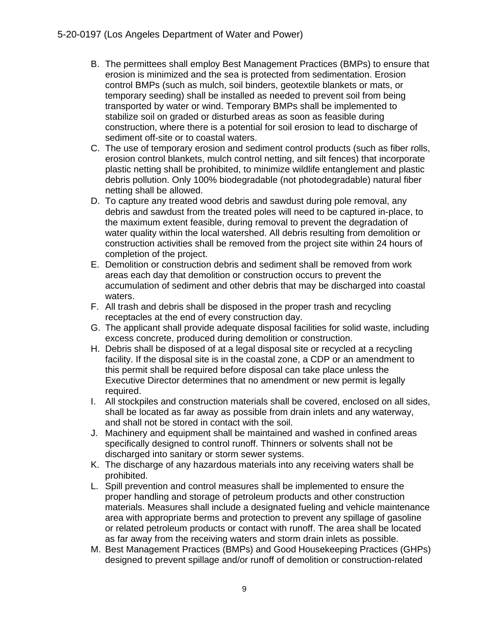- B. The permittees shall employ Best Management Practices (BMPs) to ensure that erosion is minimized and the sea is protected from sedimentation. Erosion control BMPs (such as mulch, soil binders, geotextile blankets or mats, or temporary seeding) shall be installed as needed to prevent soil from being transported by water or wind. Temporary BMPs shall be implemented to stabilize soil on graded or disturbed areas as soon as feasible during construction, where there is a potential for soil erosion to lead to discharge of sediment off-site or to coastal waters.
- C. The use of temporary erosion and sediment control products (such as fiber rolls, erosion control blankets, mulch control netting, and silt fences) that incorporate plastic netting shall be prohibited, to minimize wildlife entanglement and plastic debris pollution. Only 100% biodegradable (not photodegradable) natural fiber netting shall be allowed.
- D. To capture any treated wood debris and sawdust during pole removal, any debris and sawdust from the treated poles will need to be captured in-place, to the maximum extent feasible, during removal to prevent the degradation of water quality within the local watershed. All debris resulting from demolition or construction activities shall be removed from the project site within 24 hours of completion of the project.
- E. Demolition or construction debris and sediment shall be removed from work areas each day that demolition or construction occurs to prevent the accumulation of sediment and other debris that may be discharged into coastal waters.
- F. All trash and debris shall be disposed in the proper trash and recycling receptacles at the end of every construction day.
- G. The applicant shall provide adequate disposal facilities for solid waste, including excess concrete, produced during demolition or construction.
- H. Debris shall be disposed of at a legal disposal site or recycled at a recycling facility. If the disposal site is in the coastal zone, a CDP or an amendment to this permit shall be required before disposal can take place unless the Executive Director determines that no amendment or new permit is legally required.
- I. All stockpiles and construction materials shall be covered, enclosed on all sides, shall be located as far away as possible from drain inlets and any waterway, and shall not be stored in contact with the soil.
- J. Machinery and equipment shall be maintained and washed in confined areas specifically designed to control runoff. Thinners or solvents shall not be discharged into sanitary or storm sewer systems.
- K. The discharge of any hazardous materials into any receiving waters shall be prohibited.
- L. Spill prevention and control measures shall be implemented to ensure the proper handling and storage of petroleum products and other construction materials. Measures shall include a designated fueling and vehicle maintenance area with appropriate berms and protection to prevent any spillage of gasoline or related petroleum products or contact with runoff. The area shall be located as far away from the receiving waters and storm drain inlets as possible.
- M. Best Management Practices (BMPs) and Good Housekeeping Practices (GHPs) designed to prevent spillage and/or runoff of demolition or construction-related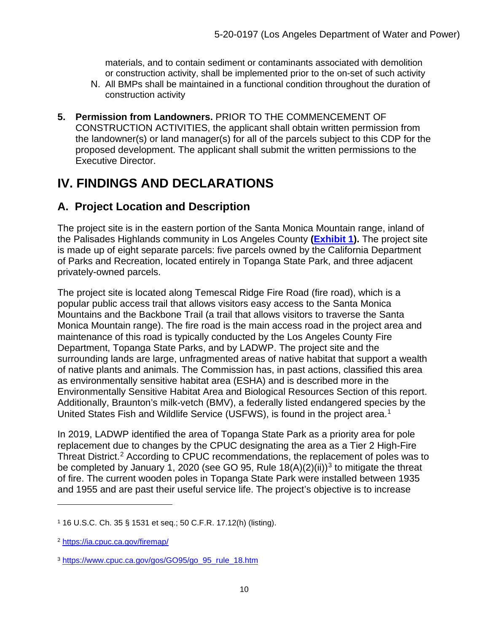materials, and to contain sediment or contaminants associated with demolition or construction activity, shall be implemented prior to the on-set of such activity

- N. All BMPs shall be maintained in a functional condition throughout the duration of construction activity
- **5. Permission from Landowners.** PRIOR TO THE COMMENCEMENT OF CONSTRUCTION ACTIVITIES, the applicant shall obtain written permission from the landowner(s) or land manager(s) for all of the parcels subject to this CDP for the proposed development. The applicant shall submit the written permissions to the Executive Director.

# <span id="page-9-0"></span>**IV. FINDINGS AND DECLARATIONS**

## <span id="page-9-1"></span>**A. Project Location and Description**

The project site is in the eastern portion of the Santa Monica Mountain range, inland of the Palisades Highlands community in Los Angeles County **[\(Exhibit 1\)](https://documents.coastal.ca.gov/reports/2021/3/Th13e/Th13e-3-2021-exhibits.pdf).** The project site is made up of eight separate parcels: five parcels owned by the California Department of Parks and Recreation, located entirely in Topanga State Park, and three adjacent privately-owned parcels.

The project site is located along Temescal Ridge Fire Road (fire road), which is a popular public access trail that allows visitors easy access to the Santa Monica Mountains and the Backbone Trail (a trail that allows visitors to traverse the Santa Monica Mountain range). The fire road is the main access road in the project area and maintenance of this road is typically conducted by the Los Angeles County Fire Department, Topanga State Parks, and by LADWP. The project site and the surrounding lands are large, unfragmented areas of native habitat that support a wealth of native plants and animals. The Commission has, in past actions, classified this area as environmentally sensitive habitat area (ESHA) and is described more in the Environmentally Sensitive Habitat Area and Biological Resources Section of this report. Additionally, Braunton's milk-vetch (BMV), a federally listed endangered species by the United States Fish and Wildlife Service (USFWS), is found in the project area. [1](#page-9-2)

In 2019, LADWP identified the area of Topanga State Park as a priority area for pole replacement due to changes by the CPUC designating the area as a Tier 2 High-Fire Threat District. [2](#page-9-3) According to CPUC recommendations, the replacement of poles was to be completed by January 1, 2020 (see GO 95, Rule  $18(A)(2)(ii)$ <sup>[3](#page-9-4)</sup> to mitigate the threat of fire. The current wooden poles in Topanga State Park were installed between 1935 and 1955 and are past their useful service life. The project's objective is to increase

<span id="page-9-2"></span><sup>1</sup> 16 U.S.C. Ch. 35 § 1531 et seq.; 50 C.F.R. 17.12(h) (listing).

<span id="page-9-3"></span><sup>2</sup> <https://ia.cpuc.ca.gov/firemap/>

<span id="page-9-4"></span><sup>3</sup> [https://www.cpuc.ca.gov/gos/GO95/go\\_95\\_rule\\_18.htm](https://www.cpuc.ca.gov/gos/GO95/go_95_rule_18.htm)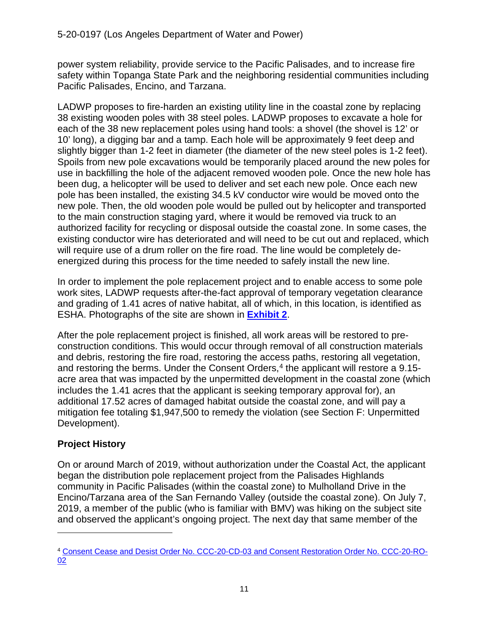power system reliability, provide service to the Pacific Palisades, and to increase fire safety within Topanga State Park and the neighboring residential communities including Pacific Palisades, Encino, and Tarzana.

LADWP proposes to fire-harden an existing utility line in the coastal zone by replacing 38 existing wooden poles with 38 steel poles. LADWP proposes to excavate a hole for each of the 38 new replacement poles using hand tools: a shovel (the shovel is 12' or 10' long), a digging bar and a tamp. Each hole will be approximately 9 feet deep and slightly bigger than 1-2 feet in diameter (the diameter of the new steel poles is 1-2 feet). Spoils from new pole excavations would be temporarily placed around the new poles for use in backfilling the hole of the adjacent removed wooden pole. Once the new hole has been dug, a helicopter will be used to deliver and set each new pole. Once each new pole has been installed, the existing 34.5 kV conductor wire would be moved onto the new pole. Then, the old wooden pole would be pulled out by helicopter and transported to the main construction staging yard, where it would be removed via truck to an authorized facility for recycling or disposal outside the coastal zone. In some cases, the existing conductor wire has deteriorated and will need to be cut out and replaced, which will require use of a drum roller on the fire road. The line would be completely deenergized during this process for the time needed to safely install the new line.

In order to implement the pole replacement project and to enable access to some pole work sites, LADWP requests after-the-fact approval of temporary vegetation clearance and grading of 1.41 acres of native habitat, all of which, in this location, is identified as ESHA. Photographs of the site are shown in **[Exhibit 2](https://documents.coastal.ca.gov/reports/2021/3/Th13e/Th13e-3-2021-exhibits.pdf)**.

After the pole replacement project is finished, all work areas will be restored to preconstruction conditions. This would occur through removal of all construction materials and debris, restoring the fire road, restoring the access paths, restoring all vegetation, and restoring the berms. Under the Consent Orders, [4](#page-10-1) the applicant will restore a 9.15 acre area that was impacted by the unpermitted development in the coastal zone (which includes the 1.41 acres that the applicant is seeking temporary approval for), an additional 17.52 acres of damaged habitat outside the coastal zone, and will pay a mitigation fee totaling \$1,947,500 to remedy the violation (see Section F: Unpermitted Development).

## <span id="page-10-0"></span>**Project History**

On or around March of 2019, without authorization under the Coastal Act, the applicant began the distribution pole replacement project from the Palisades Highlands community in Pacific Palisades (within the coastal zone) to Mulholland Drive in the Encino/Tarzana area of the San Fernando Valley (outside the coastal zone). On July 7, 2019, a member of the public (who is familiar with BMV) was hiking on the subject site and observed the applicant's ongoing project. The next day that same member of the

<span id="page-10-1"></span><sup>4</sup> [Consent Cease and Desist Order No. CCC-20-CD-03 and Consent Restoration Order No. CCC-20-RO-](https://documents.coastal.ca.gov/reports/2020/11/W8&9/W8&9-11-2020-Report.pdf)[02](https://documents.coastal.ca.gov/reports/2020/11/W8&9/W8&9-11-2020-Report.pdf)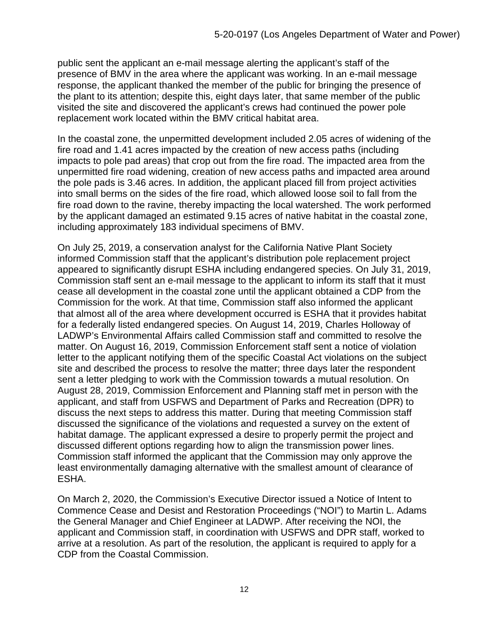public sent the applicant an e-mail message alerting the applicant's staff of the presence of BMV in the area where the applicant was working. In an e-mail message response, the applicant thanked the member of the public for bringing the presence of the plant to its attention; despite this, eight days later, that same member of the public visited the site and discovered the applicant's crews had continued the power pole replacement work located within the BMV critical habitat area.

In the coastal zone, the unpermitted development included 2.05 acres of widening of the fire road and 1.41 acres impacted by the creation of new access paths (including impacts to pole pad areas) that crop out from the fire road. The impacted area from the unpermitted fire road widening, creation of new access paths and impacted area around the pole pads is 3.46 acres. In addition, the applicant placed fill from project activities into small berms on the sides of the fire road, which allowed loose soil to fall from the fire road down to the ravine, thereby impacting the local watershed. The work performed by the applicant damaged an estimated 9.15 acres of native habitat in the coastal zone, including approximately 183 individual specimens of BMV.

On July 25, 2019, a conservation analyst for the California Native Plant Society informed Commission staff that the applicant's distribution pole replacement project appeared to significantly disrupt ESHA including endangered species. On July 31, 2019, Commission staff sent an e-mail message to the applicant to inform its staff that it must cease all development in the coastal zone until the applicant obtained a CDP from the Commission for the work. At that time, Commission staff also informed the applicant that almost all of the area where development occurred is ESHA that it provides habitat for a federally listed endangered species. On August 14, 2019, Charles Holloway of LADWP's Environmental Affairs called Commission staff and committed to resolve the matter. On August 16, 2019, Commission Enforcement staff sent a notice of violation letter to the applicant notifying them of the specific Coastal Act violations on the subject site and described the process to resolve the matter; three days later the respondent sent a letter pledging to work with the Commission towards a mutual resolution. On August 28, 2019, Commission Enforcement and Planning staff met in person with the applicant, and staff from USFWS and Department of Parks and Recreation (DPR) to discuss the next steps to address this matter. During that meeting Commission staff discussed the significance of the violations and requested a survey on the extent of habitat damage. The applicant expressed a desire to properly permit the project and discussed different options regarding how to align the transmission power lines. Commission staff informed the applicant that the Commission may only approve the least environmentally damaging alternative with the smallest amount of clearance of ESHA.

On March 2, 2020, the Commission's Executive Director issued a Notice of Intent to Commence Cease and Desist and Restoration Proceedings ("NOI") to Martin L. Adams the General Manager and Chief Engineer at LADWP. After receiving the NOI, the applicant and Commission staff, in coordination with USFWS and DPR staff, worked to arrive at a resolution. As part of the resolution, the applicant is required to apply for a CDP from the Coastal Commission.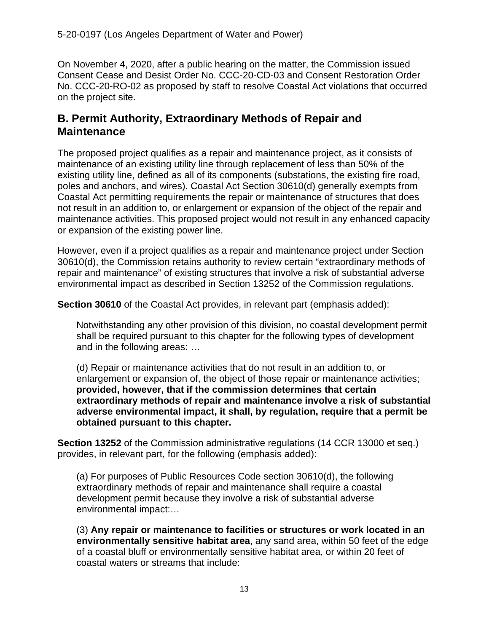On November 4, 2020, after a public hearing on the matter, the Commission issued Consent Cease and Desist Order No. CCC-20-CD-03 and Consent Restoration Order No. CCC-20-RO-02 as proposed by staff to resolve Coastal Act violations that occurred on the project site.

## <span id="page-12-0"></span>**B. Permit Authority, Extraordinary Methods of Repair and Maintenance**

The proposed project qualifies as a repair and maintenance project, as it consists of maintenance of an existing utility line through replacement of less than 50% of the existing utility line, defined as all of its components (substations, the existing fire road, poles and anchors, and wires). Coastal Act Section 30610(d) generally exempts from Coastal Act permitting requirements the repair or maintenance of structures that does not result in an addition to, or enlargement or expansion of the object of the repair and maintenance activities. This proposed project would not result in any enhanced capacity or expansion of the existing power line.

However, even if a project qualifies as a repair and maintenance project under Section 30610(d), the Commission retains authority to review certain "extraordinary methods of repair and maintenance" of existing structures that involve a risk of substantial adverse environmental impact as described in Section 13252 of the Commission regulations.

**Section 30610** of the Coastal Act provides, in relevant part (emphasis added):

Notwithstanding any other provision of this division, no coastal development permit shall be required pursuant to this chapter for the following types of development and in the following areas: …

(d) Repair or maintenance activities that do not result in an addition to, or enlargement or expansion of, the object of those repair or maintenance activities; **provided, however, that if the commission determines that certain extraordinary methods of repair and maintenance involve a risk of substantial adverse environmental impact, it shall, by regulation, require that a permit be obtained pursuant to this chapter.**

**Section 13252** of the Commission administrative regulations (14 CCR 13000 et seq.) provides, in relevant part, for the following (emphasis added):

(a) For purposes of Public Resources Code section 30610(d), the following extraordinary methods of repair and maintenance shall require a coastal development permit because they involve a risk of substantial adverse environmental impact:…

(3) **Any repair or maintenance to facilities or structures or work located in an environmentally sensitive habitat area**, any sand area, within 50 feet of the edge of a coastal bluff or environmentally sensitive habitat area, or within 20 feet of coastal waters or streams that include: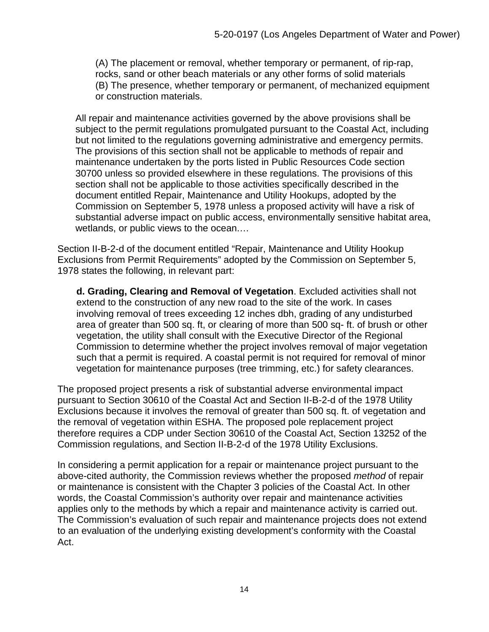(A) The placement or removal, whether temporary or permanent, of rip-rap, rocks, sand or other beach materials or any other forms of solid materials (B) The presence, whether temporary or permanent, of mechanized equipment or construction materials.

All repair and maintenance activities governed by the above provisions shall be subject to the permit regulations promulgated pursuant to the Coastal Act, including but not limited to the regulations governing administrative and emergency permits. The provisions of this section shall not be applicable to methods of repair and maintenance undertaken by the ports listed in Public Resources Code section 30700 unless so provided elsewhere in these regulations. The provisions of this section shall not be applicable to those activities specifically described in the document entitled Repair, Maintenance and Utility Hookups, adopted by the Commission on September 5, 1978 unless a proposed activity will have a risk of substantial adverse impact on public access, environmentally sensitive habitat area, wetlands, or public views to the ocean.…

Section II-B-2-d of the document entitled "Repair, Maintenance and Utility Hookup Exclusions from Permit Requirements" adopted by the Commission on September 5, 1978 states the following, in relevant part:

**d. Grading, Clearing and Removal of Vegetation**. Excluded activities shall not extend to the construction of any new road to the site of the work. In cases involving removal of trees exceeding 12 inches dbh, grading of any undisturbed area of greater than 500 sq. ft, or clearing of more than 500 sq- ft. of brush or other vegetation, the utility shall consult with the Executive Director of the Regional Commission to determine whether the project involves removal of major vegetation such that a permit is required. A coastal permit is not required for removal of minor vegetation for maintenance purposes (tree trimming, etc.) for safety clearances.

The proposed project presents a risk of substantial adverse environmental impact pursuant to Section 30610 of the Coastal Act and Section II-B-2-d of the 1978 Utility Exclusions because it involves the removal of greater than 500 sq. ft. of vegetation and the removal of vegetation within ESHA. The proposed pole replacement project therefore requires a CDP under Section 30610 of the Coastal Act, Section 13252 of the Commission regulations, and Section II-B-2-d of the 1978 Utility Exclusions.

In considering a permit application for a repair or maintenance project pursuant to the above-cited authority, the Commission reviews whether the proposed *method* of repair or maintenance is consistent with the Chapter 3 policies of the Coastal Act. In other words, the Coastal Commission's authority over repair and maintenance activities applies only to the methods by which a repair and maintenance activity is carried out. The Commission's evaluation of such repair and maintenance projects does not extend to an evaluation of the underlying existing development's conformity with the Coastal Act.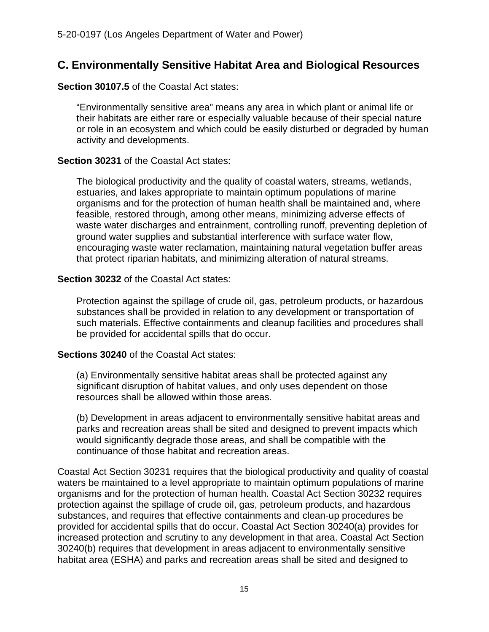## <span id="page-14-0"></span>**C. Environmentally Sensitive Habitat Area and Biological Resources**

**Section 30107.5** of the Coastal Act states:

"Environmentally sensitive area" means any area in which plant or animal life or their habitats are either rare or especially valuable because of their special nature or role in an ecosystem and which could be easily disturbed or degraded by human activity and developments.

#### **Section 30231** of the Coastal Act states:

The biological productivity and the quality of coastal waters, streams, wetlands, estuaries, and lakes appropriate to maintain optimum populations of marine organisms and for the protection of human health shall be maintained and, where feasible, restored through, among other means, minimizing adverse effects of waste water discharges and entrainment, controlling runoff, preventing depletion of ground water supplies and substantial interference with surface water flow, encouraging waste water reclamation, maintaining natural vegetation buffer areas that protect riparian habitats, and minimizing alteration of natural streams.

#### **Section 30232** of the Coastal Act states:

Protection against the spillage of crude oil, gas, petroleum products, or hazardous substances shall be provided in relation to any development or transportation of such materials. Effective containments and cleanup facilities and procedures shall be provided for accidental spills that do occur.

#### **Sections 30240** of the Coastal Act states:

(a) Environmentally sensitive habitat areas shall be protected against any significant disruption of habitat values, and only uses dependent on those resources shall be allowed within those areas.

(b) Development in areas adjacent to environmentally sensitive habitat areas and parks and recreation areas shall be sited and designed to prevent impacts which would significantly degrade those areas, and shall be compatible with the continuance of those habitat and recreation areas.

Coastal Act Section 30231 requires that the biological productivity and quality of coastal waters be maintained to a level appropriate to maintain optimum populations of marine organisms and for the protection of human health. Coastal Act Section 30232 requires protection against the spillage of crude oil, gas, petroleum products, and hazardous substances, and requires that effective containments and clean-up procedures be provided for accidental spills that do occur. Coastal Act Section 30240(a) provides for increased protection and scrutiny to any development in that area. Coastal Act Section 30240(b) requires that development in areas adjacent to environmentally sensitive habitat area (ESHA) and parks and recreation areas shall be sited and designed to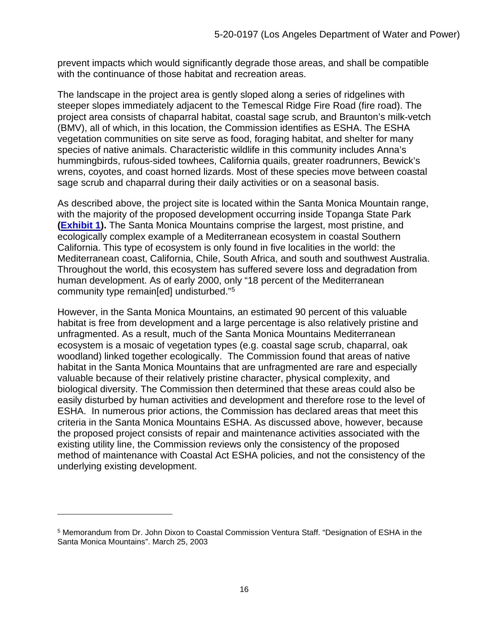prevent impacts which would significantly degrade those areas, and shall be compatible with the continuance of those habitat and recreation areas.

The landscape in the project area is gently sloped along a series of ridgelines with steeper slopes immediately adjacent to the Temescal Ridge Fire Road (fire road). The project area consists of chaparral habitat, coastal sage scrub, and Braunton's milk-vetch (BMV), all of which, in this location, the Commission identifies as ESHA. The ESHA vegetation communities on site serve as food, foraging habitat, and shelter for many species of native animals. Characteristic wildlife in this community includes Anna's hummingbirds, rufous-sided towhees, California quails, greater roadrunners, Bewick's wrens, coyotes, and coast horned lizards. Most of these species move between coastal sage scrub and chaparral during their daily activities or on a seasonal basis.

As described above, the project site is located within the Santa Monica Mountain range, with the majority of the proposed development occurring inside Topanga State Park **[\(Exhibit 1\)](https://documents.coastal.ca.gov/reports/2021/3/Th13e/Th13e-3-2021-exhibits.pdf).** The Santa Monica Mountains comprise the largest, most pristine, and ecologically complex example of a Mediterranean ecosystem in coastal Southern California. This type of ecosystem is only found in five localities in the world: the Mediterranean coast, California, Chile, South Africa, and south and southwest Australia. Throughout the world, this ecosystem has suffered severe loss and degradation from human development. As of early 2000, only "18 percent of the Mediterranean community type remain[ed] undisturbed."[5](#page-15-0)

However, in the Santa Monica Mountains, an estimated 90 percent of this valuable habitat is free from development and a large percentage is also relatively pristine and unfragmented. As a result, much of the Santa Monica Mountains Mediterranean ecosystem is a mosaic of vegetation types (e.g. coastal sage scrub, chaparral, oak woodland) linked together ecologically. The Commission found that areas of native habitat in the Santa Monica Mountains that are unfragmented are rare and especially valuable because of their relatively pristine character, physical complexity, and biological diversity. The Commission then determined that these areas could also be easily disturbed by human activities and development and therefore rose to the level of ESHA. In numerous prior actions, the Commission has declared areas that meet this criteria in the Santa Monica Mountains ESHA. As discussed above, however, because the proposed project consists of repair and maintenance activities associated with the existing utility line, the Commission reviews only the consistency of the proposed method of maintenance with Coastal Act ESHA policies, and not the consistency of the underlying existing development.

<span id="page-15-0"></span><sup>5</sup> Memorandum from Dr. John Dixon to Coastal Commission Ventura Staff. "Designation of ESHA in the Santa Monica Mountains". March 25, 2003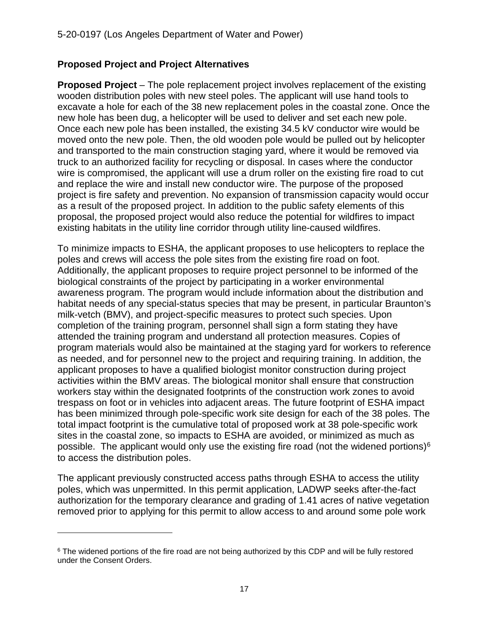#### <span id="page-16-0"></span>**Proposed Project and Project Alternatives**

**Proposed Project** – The pole replacement project involves replacement of the existing wooden distribution poles with new steel poles. The applicant will use hand tools to excavate a hole for each of the 38 new replacement poles in the coastal zone. Once the new hole has been dug, a helicopter will be used to deliver and set each new pole. Once each new pole has been installed, the existing 34.5 kV conductor wire would be moved onto the new pole. Then, the old wooden pole would be pulled out by helicopter and transported to the main construction staging yard, where it would be removed via truck to an authorized facility for recycling or disposal. In cases where the conductor wire is compromised, the applicant will use a drum roller on the existing fire road to cut and replace the wire and install new conductor wire. The purpose of the proposed project is fire safety and prevention. No expansion of transmission capacity would occur as a result of the proposed project. In addition to the public safety elements of this proposal, the proposed project would also reduce the potential for wildfires to impact existing habitats in the utility line corridor through utility line-caused wildfires.

To minimize impacts to ESHA, the applicant proposes to use helicopters to replace the poles and crews will access the pole sites from the existing fire road on foot. Additionally, the applicant proposes to require project personnel to be informed of the biological constraints of the project by participating in a worker environmental awareness program. The program would include information about the distribution and habitat needs of any special-status species that may be present, in particular Braunton's milk-vetch (BMV), and project-specific measures to protect such species. Upon completion of the training program, personnel shall sign a form stating they have attended the training program and understand all protection measures. Copies of program materials would also be maintained at the staging yard for workers to reference as needed, and for personnel new to the project and requiring training. In addition, the applicant proposes to have a qualified biologist monitor construction during project activities within the BMV areas. The biological monitor shall ensure that construction workers stay within the designated footprints of the construction work zones to avoid trespass on foot or in vehicles into adjacent areas. The future footprint of ESHA impact has been minimized through pole-specific work site design for each of the 38 poles. The total impact footprint is the cumulative total of proposed work at 38 pole-specific work sites in the coastal zone, so impacts to ESHA are avoided, or minimized as much as possible. The applicant would only use the existing fire road (not the widened portions)<sup>[6](#page-16-1)</sup> to access the distribution poles.

The applicant previously constructed access paths through ESHA to access the utility poles, which was unpermitted. In this permit application, LADWP seeks after-the-fact authorization for the temporary clearance and grading of 1.41 acres of native vegetation removed prior to applying for this permit to allow access to and around some pole work

<span id="page-16-1"></span><sup>&</sup>lt;sup>6</sup> The widened portions of the fire road are not being authorized by this CDP and will be fully restored under the Consent Orders.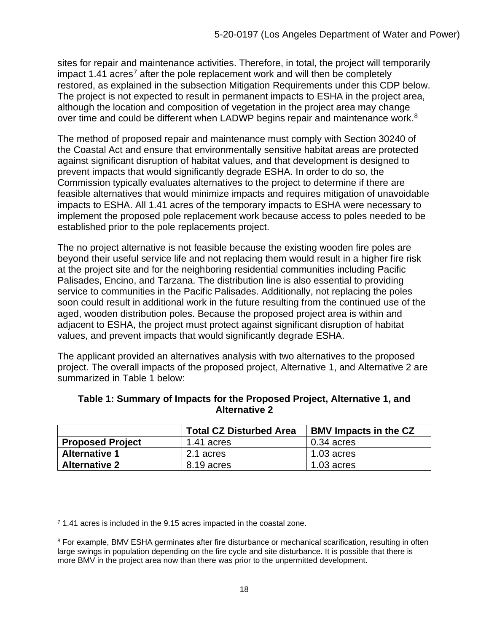sites for repair and maintenance activities. Therefore, in total, the project will temporarily impact 1.41 acres<sup>[7](#page-17-0)</sup> after the pole replacement work and will then be completely restored, as explained in the subsection Mitigation Requirements under this CDP below. The project is not expected to result in permanent impacts to ESHA in the project area, although the location and composition of vegetation in the project area may change over time and could be different when LADWP begins repair and maintenance work.<sup>[8](#page-17-1)</sup>

The method of proposed repair and maintenance must comply with Section 30240 of the Coastal Act and ensure that environmentally sensitive habitat areas are protected against significant disruption of habitat values, and that development is designed to prevent impacts that would significantly degrade ESHA. In order to do so, the Commission typically evaluates alternatives to the project to determine if there are feasible alternatives that would minimize impacts and requires mitigation of unavoidable impacts to ESHA. All 1.41 acres of the temporary impacts to ESHA were necessary to implement the proposed pole replacement work because access to poles needed to be established prior to the pole replacements project.

The no project alternative is not feasible because the existing wooden fire poles are beyond their useful service life and not replacing them would result in a higher fire risk at the project site and for the neighboring residential communities including Pacific Palisades, Encino, and Tarzana. The distribution line is also essential to providing service to communities in the Pacific Palisades. Additionally, not replacing the poles soon could result in additional work in the future resulting from the continued use of the aged, wooden distribution poles. Because the proposed project area is within and adjacent to ESHA, the project must protect against significant disruption of habitat values, and prevent impacts that would significantly degrade ESHA.

The applicant provided an alternatives analysis with two alternatives to the proposed project. The overall impacts of the proposed project, Alternative 1, and Alternative 2 are summarized in Table 1 below:

|                         | <b>Total CZ Disturbed Area</b> | <b>BMV Impacts in the CZ</b> |
|-------------------------|--------------------------------|------------------------------|
| <b>Proposed Project</b> | 1.41 acres                     | $0.34$ acres                 |
| <b>Alternative 1</b>    | 2.1 acres                      | $1.03$ acres                 |
| <b>Alternative 2</b>    | 8.19 acres                     | $1.03$ acres                 |

#### **Table 1: Summary of Impacts for the Proposed Project, Alternative 1, and Alternative 2**

<span id="page-17-0"></span><sup>&</sup>lt;sup>7</sup> 1.41 acres is included in the 9.15 acres impacted in the coastal zone.

<span id="page-17-1"></span><sup>8</sup> For example, BMV ESHA germinates after fire disturbance or mechanical scarification, resulting in often large swings in population depending on the fire cycle and site disturbance. It is possible that there is more BMV in the project area now than there was prior to the unpermitted development.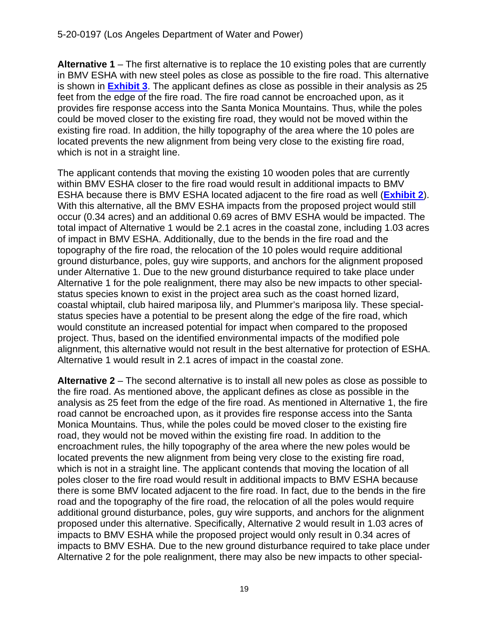**Alternative 1** – The first alternative is to replace the 10 existing poles that are currently in BMV ESHA with new steel poles as close as possible to the fire road. This alternative is shown in **[Exhibit 3](https://documents.coastal.ca.gov/reports/2021/3/Th13e/Th13e-3-2021-exhibits.pdf)**. The applicant defines as close as possible in their analysis as 25 feet from the edge of the fire road. The fire road cannot be encroached upon, as it provides fire response access into the Santa Monica Mountains. Thus, while the poles could be moved closer to the existing fire road, they would not be moved within the existing fire road. In addition, the hilly topography of the area where the 10 poles are located prevents the new alignment from being very close to the existing fire road, which is not in a straight line.

The applicant contends that moving the existing 10 wooden poles that are currently within BMV ESHA closer to the fire road would result in additional impacts to BMV ESHA because there is BMV ESHA located adjacent to the fire road as well (**[Exhibit 2](https://documents.coastal.ca.gov/reports/2021/3/Th13e/Th13e-3-2021-exhibits.pdf)**). With this alternative, all the BMV ESHA impacts from the proposed project would still occur (0.34 acres) and an additional 0.69 acres of BMV ESHA would be impacted. The total impact of Alternative 1 would be 2.1 acres in the coastal zone, including 1.03 acres of impact in BMV ESHA. Additionally, due to the bends in the fire road and the topography of the fire road, the relocation of the 10 poles would require additional ground disturbance, poles, guy wire supports, and anchors for the alignment proposed under Alternative 1. Due to the new ground disturbance required to take place under Alternative 1 for the pole realignment, there may also be new impacts to other specialstatus species known to exist in the project area such as the coast horned lizard, coastal whiptail, club haired mariposa lily, and Plummer's mariposa lily. These specialstatus species have a potential to be present along the edge of the fire road, which would constitute an increased potential for impact when compared to the proposed project. Thus, based on the identified environmental impacts of the modified pole alignment, this alternative would not result in the best alternative for protection of ESHA. Alternative 1 would result in 2.1 acres of impact in the coastal zone.

**Alternative 2** – The second alternative is to install all new poles as close as possible to the fire road. As mentioned above, the applicant defines as close as possible in the analysis as 25 feet from the edge of the fire road. As mentioned in Alternative 1, the fire road cannot be encroached upon, as it provides fire response access into the Santa Monica Mountains. Thus, while the poles could be moved closer to the existing fire road, they would not be moved within the existing fire road. In addition to the encroachment rules, the hilly topography of the area where the new poles would be located prevents the new alignment from being very close to the existing fire road, which is not in a straight line. The applicant contends that moving the location of all poles closer to the fire road would result in additional impacts to BMV ESHA because there is some BMV located adjacent to the fire road. In fact, due to the bends in the fire road and the topography of the fire road, the relocation of all the poles would require additional ground disturbance, poles, guy wire supports, and anchors for the alignment proposed under this alternative. Specifically, Alternative 2 would result in 1.03 acres of impacts to BMV ESHA while the proposed project would only result in 0.34 acres of impacts to BMV ESHA. Due to the new ground disturbance required to take place under Alternative 2 for the pole realignment, there may also be new impacts to other special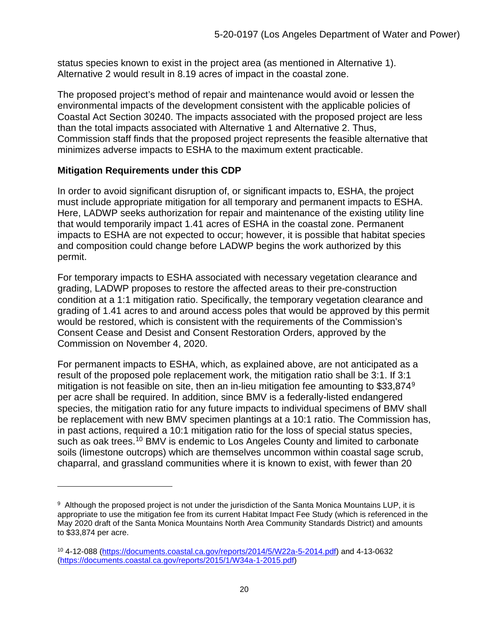status species known to exist in the project area (as mentioned in Alternative 1). Alternative 2 would result in 8.19 acres of impact in the coastal zone.

The proposed project's method of repair and maintenance would avoid or lessen the environmental impacts of the development consistent with the applicable policies of Coastal Act Section 30240. The impacts associated with the proposed project are less than the total impacts associated with Alternative 1 and Alternative 2. Thus, Commission staff finds that the proposed project represents the feasible alternative that minimizes adverse impacts to ESHA to the maximum extent practicable.

#### <span id="page-19-0"></span>**Mitigation Requirements under this CDP**

In order to avoid significant disruption of, or significant impacts to, ESHA, the project must include appropriate mitigation for all temporary and permanent impacts to ESHA. Here, LADWP seeks authorization for repair and maintenance of the existing utility line that would temporarily impact 1.41 acres of ESHA in the coastal zone. Permanent impacts to ESHA are not expected to occur; however, it is possible that habitat species and composition could change before LADWP begins the work authorized by this permit.

For temporary impacts to ESHA associated with necessary vegetation clearance and grading, LADWP proposes to restore the affected areas to their pre-construction condition at a 1:1 mitigation ratio. Specifically, the temporary vegetation clearance and grading of 1.41 acres to and around access poles that would be approved by this permit would be restored, which is consistent with the requirements of the Commission's Consent Cease and Desist and Consent Restoration Orders, approved by the Commission on November 4, 2020.

For permanent impacts to ESHA, which, as explained above, are not anticipated as a result of the proposed pole replacement work, the mitigation ratio shall be 3:1. If 3:1 mitigation is not feasible on site, then an in-lieu mitigation fee amounting to \$33,874<sup>[9](#page-19-1)</sup> per acre shall be required. In addition, since BMV is a federally-listed endangered species, the mitigation ratio for any future impacts to individual specimens of BMV shall be replacement with new BMV specimen plantings at a 10:1 ratio. The Commission has, in past actions, required a 10:1 mitigation ratio for the loss of special status species, such as oak trees.<sup>[10](#page-19-2)</sup> BMV is endemic to Los Angeles County and limited to carbonate soils (limestone outcrops) which are themselves uncommon within coastal sage scrub, chaparral, and grassland communities where it is known to exist, with fewer than 20

<span id="page-19-1"></span><sup>9</sup> Although the proposed project is not under the jurisdiction of the Santa Monica Mountains LUP, it is appropriate to use the mitigation fee from its current Habitat Impact Fee Study (which is referenced in the May 2020 draft of the Santa Monica Mountains North Area Community Standards District) and amounts to \$33,874 per acre.

<span id="page-19-2"></span><sup>10 4-12-088</sup> [\(https://documents.coastal.ca.gov/reports/2014/5/W22a-5-2014.pdf\)](https://documents.coastal.ca.gov/reports/2014/5/W22a-5-2014.pdf) and 4-13-0632 [\(https://documents.coastal.ca.gov/reports/2015/1/W34a-1-2015.pdf\)](https://documents.coastal.ca.gov/reports/2015/1/W34a-1-2015.pdf)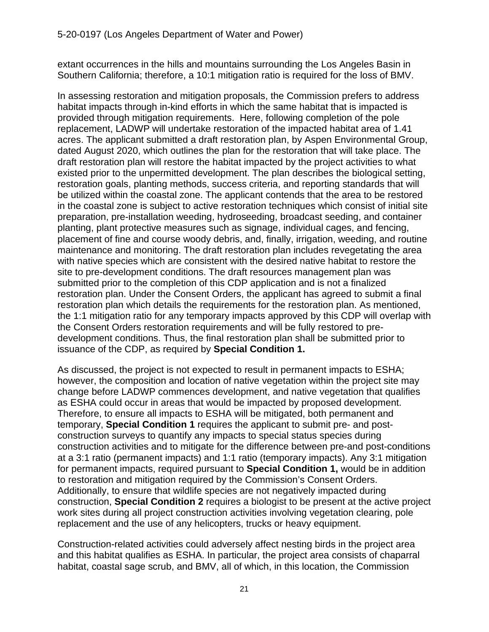extant occurrences in the hills and mountains surrounding the Los Angeles Basin in Southern California; therefore, a 10:1 mitigation ratio is required for the loss of BMV.

In assessing restoration and mitigation proposals, the Commission prefers to address habitat impacts through in-kind efforts in which the same habitat that is impacted is provided through mitigation requirements. Here, following completion of the pole replacement, LADWP will undertake restoration of the impacted habitat area of 1.41 acres. The applicant submitted a draft restoration plan, by Aspen Environmental Group, dated August 2020, which outlines the plan for the restoration that will take place. The draft restoration plan will restore the habitat impacted by the project activities to what existed prior to the unpermitted development. The plan describes the biological setting, restoration goals, planting methods, success criteria, and reporting standards that will be utilized within the coastal zone. The applicant contends that the area to be restored in the coastal zone is subject to active restoration techniques which consist of initial site preparation, pre-installation weeding, hydroseeding, broadcast seeding, and container planting, plant protective measures such as signage, individual cages, and fencing, placement of fine and course woody debris, and, finally, irrigation, weeding, and routine maintenance and monitoring. The draft restoration plan includes revegetating the area with native species which are consistent with the desired native habitat to restore the site to pre-development conditions. The draft resources management plan was submitted prior to the completion of this CDP application and is not a finalized restoration plan. Under the Consent Orders, the applicant has agreed to submit a final restoration plan which details the requirements for the restoration plan. As mentioned, the 1:1 mitigation ratio for any temporary impacts approved by this CDP will overlap with the Consent Orders restoration requirements and will be fully restored to predevelopment conditions. Thus, the final restoration plan shall be submitted prior to issuance of the CDP, as required by **Special Condition 1.**

As discussed, the project is not expected to result in permanent impacts to ESHA; however, the composition and location of native vegetation within the project site may change before LADWP commences development, and native vegetation that qualifies as ESHA could occur in areas that would be impacted by proposed development. Therefore, to ensure all impacts to ESHA will be mitigated, both permanent and temporary, **Special Condition 1** requires the applicant to submit pre- and postconstruction surveys to quantify any impacts to special status species during construction activities and to mitigate for the difference between pre-and post-conditions at a 3:1 ratio (permanent impacts) and 1:1 ratio (temporary impacts). Any 3:1 mitigation for permanent impacts, required pursuant to **Special Condition 1,** would be in addition to restoration and mitigation required by the Commission's Consent Orders. Additionally, to ensure that wildlife species are not negatively impacted during construction, **Special Condition 2** requires a biologist to be present at the active project work sites during all project construction activities involving vegetation clearing, pole replacement and the use of any helicopters, trucks or heavy equipment.

Construction-related activities could adversely affect nesting birds in the project area and this habitat qualifies as ESHA. In particular, the project area consists of chaparral habitat, coastal sage scrub, and BMV, all of which, in this location, the Commission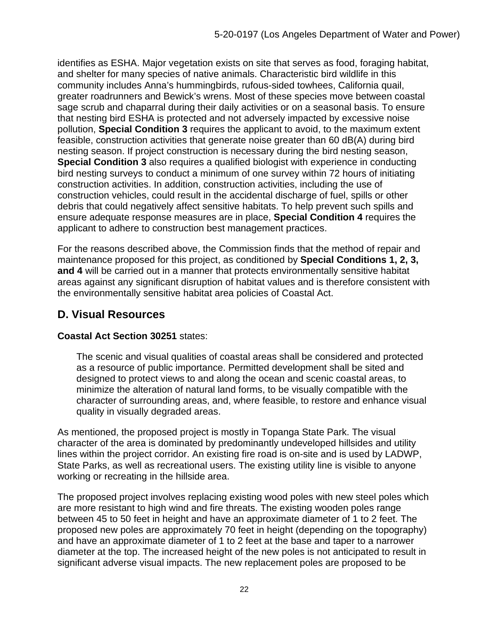identifies as ESHA. Major vegetation exists on site that serves as food, foraging habitat, and shelter for many species of native animals. Characteristic bird wildlife in this community includes Anna's hummingbirds, rufous-sided towhees, California quail, greater roadrunners and Bewick's wrens. Most of these species move between coastal sage scrub and chaparral during their daily activities or on a seasonal basis. To ensure that nesting bird ESHA is protected and not adversely impacted by excessive noise pollution, **Special Condition 3** requires the applicant to avoid, to the maximum extent feasible, construction activities that generate noise greater than 60 dB(A) during bird nesting season. If project construction is necessary during the bird nesting season, **Special Condition 3** also requires a qualified biologist with experience in conducting bird nesting surveys to conduct a minimum of one survey within 72 hours of initiating construction activities. In addition, construction activities, including the use of construction vehicles, could result in the accidental discharge of fuel, spills or other debris that could negatively affect sensitive habitats. To help prevent such spills and ensure adequate response measures are in place, **Special Condition 4** requires the applicant to adhere to construction best management practices.

For the reasons described above, the Commission finds that the method of repair and maintenance proposed for this project, as conditioned by **Special Conditions 1, 2, 3, and 4** will be carried out in a manner that protects environmentally sensitive habitat areas against any significant disruption of habitat values and is therefore consistent with the environmentally sensitive habitat area policies of Coastal Act.

## <span id="page-21-0"></span>**D. Visual Resources**

#### **Coastal Act Section 30251** states:

The scenic and visual qualities of coastal areas shall be considered and protected as a resource of public importance. Permitted development shall be sited and designed to protect views to and along the ocean and scenic coastal areas, to minimize the alteration of natural land forms, to be visually compatible with the character of surrounding areas, and, where feasible, to restore and enhance visual quality in visually degraded areas.

As mentioned, the proposed project is mostly in Topanga State Park. The visual character of the area is dominated by predominantly undeveloped hillsides and utility lines within the project corridor. An existing fire road is on-site and is used by LADWP, State Parks, as well as recreational users. The existing utility line is visible to anyone working or recreating in the hillside area.

The proposed project involves replacing existing wood poles with new steel poles which are more resistant to high wind and fire threats. The existing wooden poles range between 45 to 50 feet in height and have an approximate diameter of 1 to 2 feet. The proposed new poles are approximately 70 feet in height (depending on the topography) and have an approximate diameter of 1 to 2 feet at the base and taper to a narrower diameter at the top. The increased height of the new poles is not anticipated to result in significant adverse visual impacts. The new replacement poles are proposed to be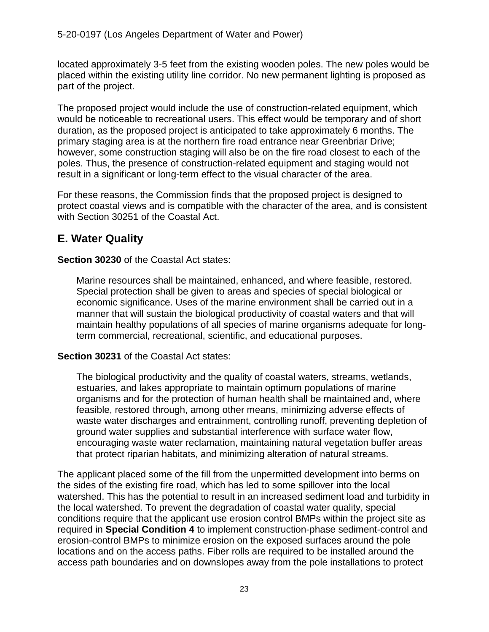located approximately 3-5 feet from the existing wooden poles. The new poles would be placed within the existing utility line corridor. No new permanent lighting is proposed as part of the project.

The proposed project would include the use of construction-related equipment, which would be noticeable to recreational users. This effect would be temporary and of short duration, as the proposed project is anticipated to take approximately 6 months. The primary staging area is at the northern fire road entrance near Greenbriar Drive; however, some construction staging will also be on the fire road closest to each of the poles. Thus, the presence of construction-related equipment and staging would not result in a significant or long-term effect to the visual character of the area.

For these reasons, the Commission finds that the proposed project is designed to protect coastal views and is compatible with the character of the area, and is consistent with Section 30251 of the Coastal Act.

## <span id="page-22-0"></span>**E. Water Quality**

**Section 30230** of the Coastal Act states:

Marine resources shall be maintained, enhanced, and where feasible, restored. Special protection shall be given to areas and species of special biological or economic significance. Uses of the marine environment shall be carried out in a manner that will sustain the biological productivity of coastal waters and that will maintain healthy populations of all species of marine organisms adequate for longterm commercial, recreational, scientific, and educational purposes.

#### **Section 30231** of the Coastal Act states:

The biological productivity and the quality of coastal waters, streams, wetlands, estuaries, and lakes appropriate to maintain optimum populations of marine organisms and for the protection of human health shall be maintained and, where feasible, restored through, among other means, minimizing adverse effects of waste water discharges and entrainment, controlling runoff, preventing depletion of ground water supplies and substantial interference with surface water flow, encouraging waste water reclamation, maintaining natural vegetation buffer areas that protect riparian habitats, and minimizing alteration of natural streams.

The applicant placed some of the fill from the unpermitted development into berms on the sides of the existing fire road, which has led to some spillover into the local watershed. This has the potential to result in an increased sediment load and turbidity in the local watershed. To prevent the degradation of coastal water quality, special conditions require that the applicant use erosion control BMPs within the project site as required in **Special Condition 4** to implement construction-phase sediment-control and erosion-control BMPs to minimize erosion on the exposed surfaces around the pole locations and on the access paths. Fiber rolls are required to be installed around the access path boundaries and on downslopes away from the pole installations to protect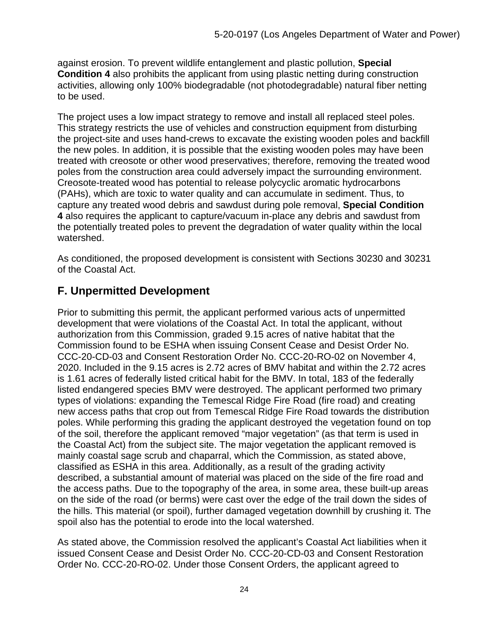against erosion. To prevent wildlife entanglement and plastic pollution, **Special Condition 4** also prohibits the applicant from using plastic netting during construction activities, allowing only 100% biodegradable (not photodegradable) natural fiber netting to be used.

The project uses a low impact strategy to remove and install all replaced steel poles. This strategy restricts the use of vehicles and construction equipment from disturbing the project-site and uses hand-crews to excavate the existing wooden poles and backfill the new poles. In addition, it is possible that the existing wooden poles may have been treated with creosote or other wood preservatives; therefore, removing the treated wood poles from the construction area could adversely impact the surrounding environment. Creosote-treated wood has potential to release polycyclic aromatic hydrocarbons (PAHs), which are toxic to water quality and can accumulate in sediment. Thus, to capture any treated wood debris and sawdust during pole removal, **Special Condition 4** also requires the applicant to capture/vacuum in-place any debris and sawdust from the potentially treated poles to prevent the degradation of water quality within the local watershed.

As conditioned, the proposed development is consistent with Sections 30230 and 30231 of the Coastal Act.

## <span id="page-23-0"></span>**F. Unpermitted Development**

Prior to submitting this permit, the applicant performed various acts of unpermitted development that were violations of the Coastal Act. In total the applicant, without authorization from this Commission, graded 9.15 acres of native habitat that the Commission found to be ESHA when issuing Consent Cease and Desist Order No. CCC-20-CD-03 and Consent Restoration Order No. CCC-20-RO-02 on November 4, 2020. Included in the 9.15 acres is 2.72 acres of BMV habitat and within the 2.72 acres is 1.61 acres of federally listed critical habit for the BMV. In total, 183 of the federally listed endangered species BMV were destroyed. The applicant performed two primary types of violations: expanding the Temescal Ridge Fire Road (fire road) and creating new access paths that crop out from Temescal Ridge Fire Road towards the distribution poles. While performing this grading the applicant destroyed the vegetation found on top of the soil, therefore the applicant removed "major vegetation" (as that term is used in the Coastal Act) from the subject site. The major vegetation the applicant removed is mainly coastal sage scrub and chaparral, which the Commission, as stated above, classified as ESHA in this area. Additionally, as a result of the grading activity described, a substantial amount of material was placed on the side of the fire road and the access paths. Due to the topography of the area, in some area, these built-up areas on the side of the road (or berms) were cast over the edge of the trail down the sides of the hills. This material (or spoil), further damaged vegetation downhill by crushing it. The spoil also has the potential to erode into the local watershed.

As stated above, the Commission resolved the applicant's Coastal Act liabilities when it issued Consent Cease and Desist Order No. CCC-20-CD-03 and Consent Restoration Order No. CCC-20-RO-02. Under those Consent Orders, the applicant agreed to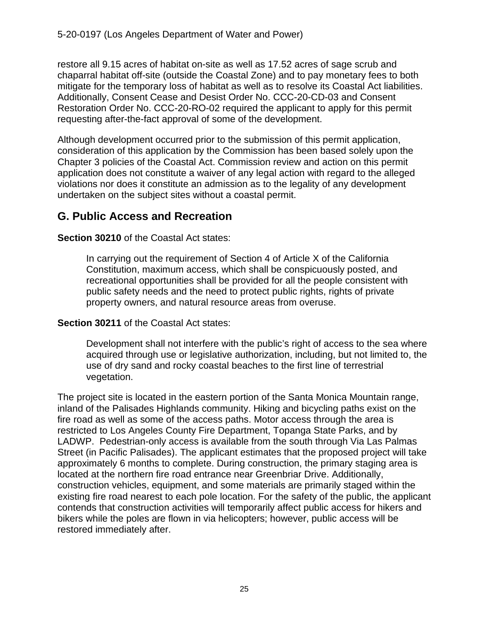restore all 9.15 acres of habitat on-site as well as 17.52 acres of sage scrub and chaparral habitat off-site (outside the Coastal Zone) and to pay monetary fees to both mitigate for the temporary loss of habitat as well as to resolve its Coastal Act liabilities. Additionally, Consent Cease and Desist Order No. CCC-20-CD-03 and Consent Restoration Order No. CCC-20-RO-02 required the applicant to apply for this permit requesting after-the-fact approval of some of the development.

Although development occurred prior to the submission of this permit application, consideration of this application by the Commission has been based solely upon the Chapter 3 policies of the Coastal Act. Commission review and action on this permit application does not constitute a waiver of any legal action with regard to the alleged violations nor does it constitute an admission as to the legality of any development undertaken on the subject sites without a coastal permit.

## <span id="page-24-0"></span>**G. Public Access and Recreation**

**Section 30210** of the Coastal Act states:

In carrying out the requirement of Section 4 of Article X of the California Constitution, maximum access, which shall be conspicuously posted, and recreational opportunities shall be provided for all the people consistent with public safety needs and the need to protect public rights, rights of private property owners, and natural resource areas from overuse.

**Section 30211** of the Coastal Act states:

Development shall not interfere with the public's right of access to the sea where acquired through use or legislative authorization, including, but not limited to, the use of dry sand and rocky coastal beaches to the first line of terrestrial vegetation.

The project site is located in the eastern portion of the Santa Monica Mountain range, inland of the Palisades Highlands community. Hiking and bicycling paths exist on the fire road as well as some of the access paths. Motor access through the area is restricted to Los Angeles County Fire Department, Topanga State Parks, and by LADWP. Pedestrian-only access is available from the south through Via Las Palmas Street (in Pacific Palisades). The applicant estimates that the proposed project will take approximately 6 months to complete. During construction, the primary staging area is located at the northern fire road entrance near Greenbriar Drive. Additionally, construction vehicles, equipment, and some materials are primarily staged within the existing fire road nearest to each pole location. For the safety of the public, the applicant contends that construction activities will temporarily affect public access for hikers and bikers while the poles are flown in via helicopters; however, public access will be restored immediately after.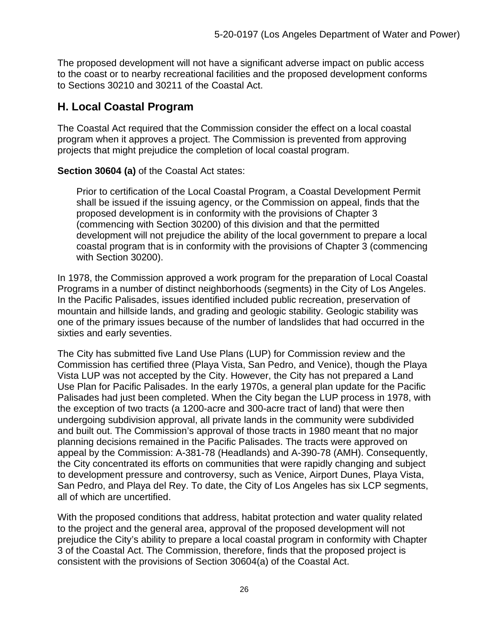The proposed development will not have a significant adverse impact on public access to the coast or to nearby recreational facilities and the proposed development conforms to Sections 30210 and 30211 of the Coastal Act.

## <span id="page-25-0"></span>**H. Local Coastal Program**

The Coastal Act required that the Commission consider the effect on a local coastal program when it approves a project. The Commission is prevented from approving projects that might prejudice the completion of local coastal program.

**Section 30604 (a)** of the Coastal Act states:

Prior to certification of the Local Coastal Program, a Coastal Development Permit shall be issued if the issuing agency, or the Commission on appeal, finds that the proposed development is in conformity with the provisions of Chapter 3 (commencing with Section 30200) of this division and that the permitted development will not prejudice the ability of the local government to prepare a local coastal program that is in conformity with the provisions of Chapter 3 (commencing with Section 30200).

In 1978, the Commission approved a work program for the preparation of Local Coastal Programs in a number of distinct neighborhoods (segments) in the City of Los Angeles. In the Pacific Palisades, issues identified included public recreation, preservation of mountain and hillside lands, and grading and geologic stability. Geologic stability was one of the primary issues because of the number of landslides that had occurred in the sixties and early seventies.

The City has submitted five Land Use Plans (LUP) for Commission review and the Commission has certified three (Playa Vista, San Pedro, and Venice), though the Playa Vista LUP was not accepted by the City. However, the City has not prepared a Land Use Plan for Pacific Palisades. In the early 1970s, a general plan update for the Pacific Palisades had just been completed. When the City began the LUP process in 1978, with the exception of two tracts (a 1200-acre and 300-acre tract of land) that were then undergoing subdivision approval, all private lands in the community were subdivided and built out. The Commission's approval of those tracts in 1980 meant that no major planning decisions remained in the Pacific Palisades. The tracts were approved on appeal by the Commission: A-381-78 (Headlands) and A-390-78 (AMH). Consequently, the City concentrated its efforts on communities that were rapidly changing and subject to development pressure and controversy, such as Venice, Airport Dunes, Playa Vista, San Pedro, and Playa del Rey. To date, the City of Los Angeles has six LCP segments, all of which are uncertified.

With the proposed conditions that address, habitat protection and water quality related to the project and the general area, approval of the proposed development will not prejudice the City's ability to prepare a local coastal program in conformity with Chapter 3 of the Coastal Act. The Commission, therefore, finds that the proposed project is consistent with the provisions of Section 30604(a) of the Coastal Act.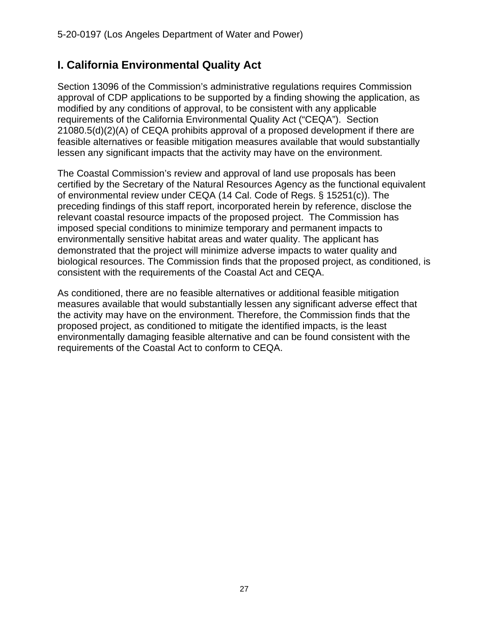## <span id="page-26-0"></span>**I. California Environmental Quality Act**

Section 13096 of the Commission's administrative regulations requires Commission approval of CDP applications to be supported by a finding showing the application, as modified by any conditions of approval, to be consistent with any applicable requirements of the California Environmental Quality Act ("CEQA"). Section 21080.5(d)(2)(A) of CEQA prohibits approval of a proposed development if there are feasible alternatives or feasible mitigation measures available that would substantially lessen any significant impacts that the activity may have on the environment.

The Coastal Commission's review and approval of land use proposals has been certified by the Secretary of the Natural Resources Agency as the functional equivalent of environmental review under CEQA (14 Cal. Code of Regs. § 15251(c)). The preceding findings of this staff report, incorporated herein by reference, disclose the relevant coastal resource impacts of the proposed project. The Commission has imposed special conditions to minimize temporary and permanent impacts to environmentally sensitive habitat areas and water quality. The applicant has demonstrated that the project will minimize adverse impacts to water quality and biological resources. The Commission finds that the proposed project, as conditioned, is consistent with the requirements of the Coastal Act and CEQA.

As conditioned, there are no feasible alternatives or additional feasible mitigation measures available that would substantially lessen any significant adverse effect that the activity may have on the environment. Therefore, the Commission finds that the proposed project, as conditioned to mitigate the identified impacts, is the least environmentally damaging feasible alternative and can be found consistent with the requirements of the Coastal Act to conform to CEQA.